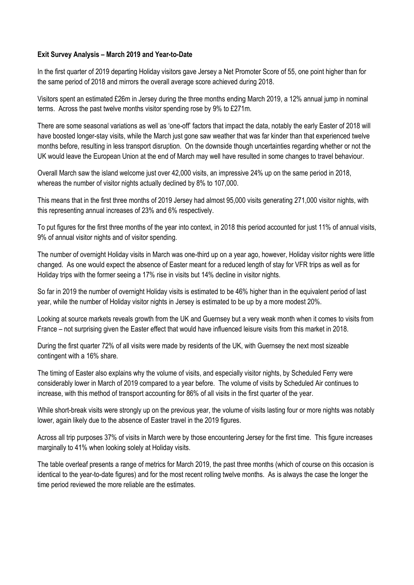## **Exit Survey Analysis – March 2019 and Year-to-Date**

In the first quarter of 2019 departing Holiday visitors gave Jersey a Net Promoter Score of 55, one point higher than for the same period of 2018 and mirrors the overall average score achieved during 2018.

Visitors spent an estimated £26m in Jersey during the three months ending March 2019, a 12% annual jump in nominal terms. Across the past twelve months visitor spending rose by 9% to £271m.

There are some seasonal variations as well as 'one-off' factors that impact the data, notably the early Easter of 2018 will have boosted longer-stay visits, while the March just gone saw weather that was far kinder than that experienced twelve months before, resulting in less transport disruption. On the downside though uncertainties regarding whether or not the UK would leave the European Union at the end of March may well have resulted in some changes to travel behaviour.

Overall March saw the island welcome just over 42,000 visits, an impressive 24% up on the same period in 2018, whereas the number of visitor nights actually declined by 8% to 107,000.

This means that in the first three months of 2019 Jersey had almost 95,000 visits generating 271,000 visitor nights, with this representing annual increases of 23% and 6% respectively.

To put figures for the first three months of the year into context, in 2018 this period accounted for just 11% of annual visits, 9% of annual visitor nights and of visitor spending.

The number of overnight Holiday visits in March was one-third up on a year ago, however, Holiday visitor nights were little changed. As one would expect the absence of Easter meant for a reduced length of stay for VFR trips as well as for Holiday trips with the former seeing a 17% rise in visits but 14% decline in visitor nights.

So far in 2019 the number of overnight Holiday visits is estimated to be 46% higher than in the equivalent period of last year, while the number of Holiday visitor nights in Jersey is estimated to be up by a more modest 20%.

Looking at source markets reveals growth from the UK and Guernsey but a very weak month when it comes to visits from France – not surprising given the Easter effect that would have influenced leisure visits from this market in 2018.

During the first quarter 72% of all visits were made by residents of the UK, with Guernsey the next most sizeable contingent with a 16% share.

The timing of Easter also explains why the volume of visits, and especially visitor nights, by Scheduled Ferry were considerably lower in March of 2019 compared to a year before. The volume of visits by Scheduled Air continues to increase, with this method of transport accounting for 86% of all visits in the first quarter of the year.

While short-break visits were strongly up on the previous year, the volume of visits lasting four or more nights was notably lower, again likely due to the absence of Easter travel in the 2019 figures.

Across all trip purposes 37% of visits in March were by those encountering Jersey for the first time. This figure increases marginally to 41% when looking solely at Holiday visits.

The table overleaf presents a range of metrics for March 2019, the past three months (which of course on this occasion is identical to the year-to-date figures) and for the most recent rolling twelve months. As is always the case the longer the time period reviewed the more reliable are the estimates.